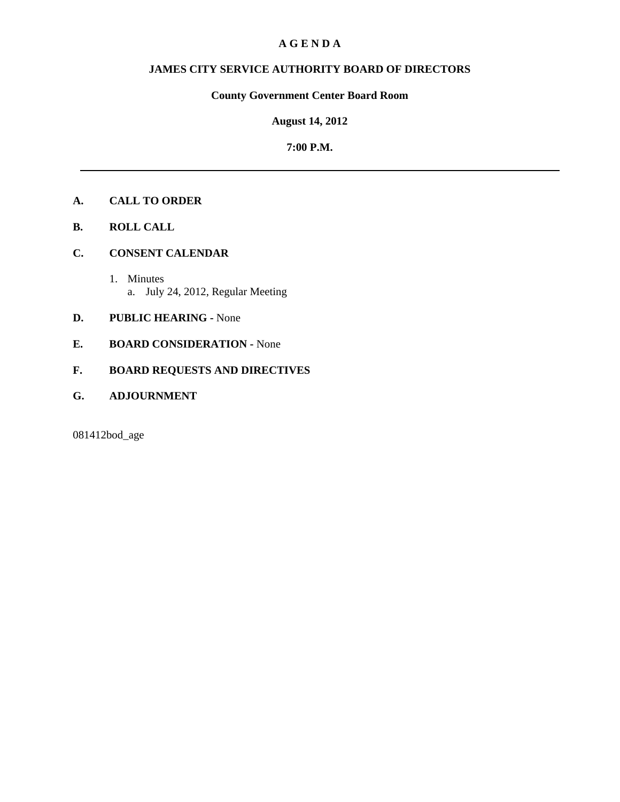#### **A G E N D A**

# **JAMES CITY SERVICE AUTHORITY BOARD OF DIRECTORS**

## **County Government Center Board Room**

#### **August 14, 2012**

#### **7:00 P.M.**

# **A. CALL TO ORDER**

- **B. ROLL CALL**
- **C. CONSENT CALENDAR** 
	- 1. Minutes a. July 24, 2012, Regular Meeting

## **D. PUBLIC HEARING -** None

**E. BOARD CONSIDERATION -** None

## **F. BOARD REQUESTS AND DIRECTIVES**

**G. ADJOURNMENT**

081412bod\_age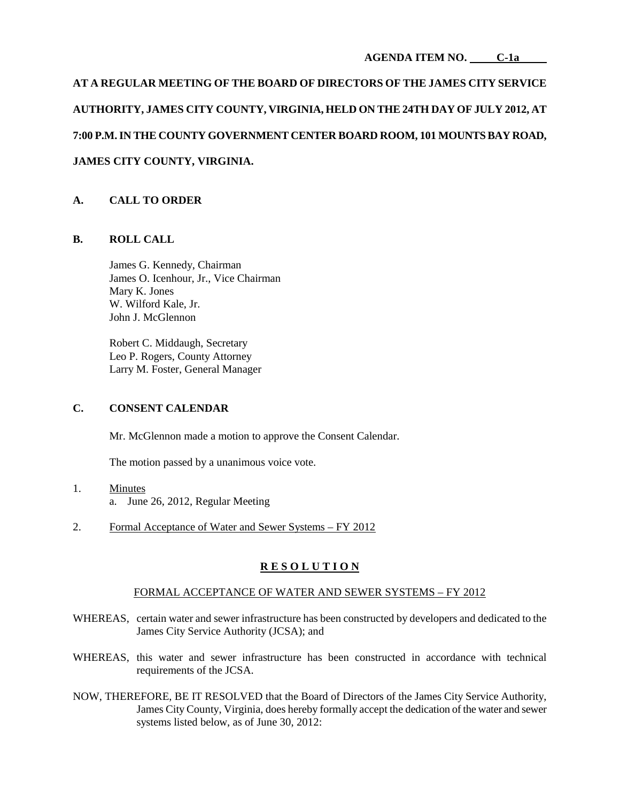**AT A REGULAR MEETING OF THE BOARD OF DIRECTORS OF THE JAMES CITY SERVICE AUTHORITY, JAMES CITY COUNTY, VIRGINIA, HELD ON THE 24TH DAY OF JULY 2012, AT 7:00 P.M. IN THE COUNTY GOVERNMENT CENTER BOARD ROOM, 101 MOUNTS BAY ROAD, JAMES CITY COUNTY, VIRGINIA.**

## **A. CALL TO ORDER**

#### **B. ROLL CALL**

James G. Kennedy, Chairman James O. Icenhour, Jr., Vice Chairman Mary K. Jones W. Wilford Kale, Jr. John J. McGlennon

Robert C. Middaugh, Secretary Leo P. Rogers, County Attorney Larry M. Foster, General Manager

#### **C. CONSENT CALENDAR**

Mr. McGlennon made a motion to approve the Consent Calendar.

The motion passed by a unanimous voice vote.

- 1. Minutes a. June 26, 2012, Regular Meeting
- 2. Formal Acceptance of Water and Sewer Systems FY 2012

#### **R E S O L U T I O N**

#### FORMAL ACCEPTANCE OF WATER AND SEWER SYSTEMS – FY 2012

- WHEREAS, certain water and sewer infrastructure has been constructed by developers and dedicated to the James City Service Authority (JCSA); and
- WHEREAS, this water and sewer infrastructure has been constructed in accordance with technical requirements of the JCSA.
- NOW, THEREFORE, BE IT RESOLVED that the Board of Directors of the James City Service Authority, James City County, Virginia, does hereby formally accept the dedication of the water and sewer systems listed below, as of June 30, 2012: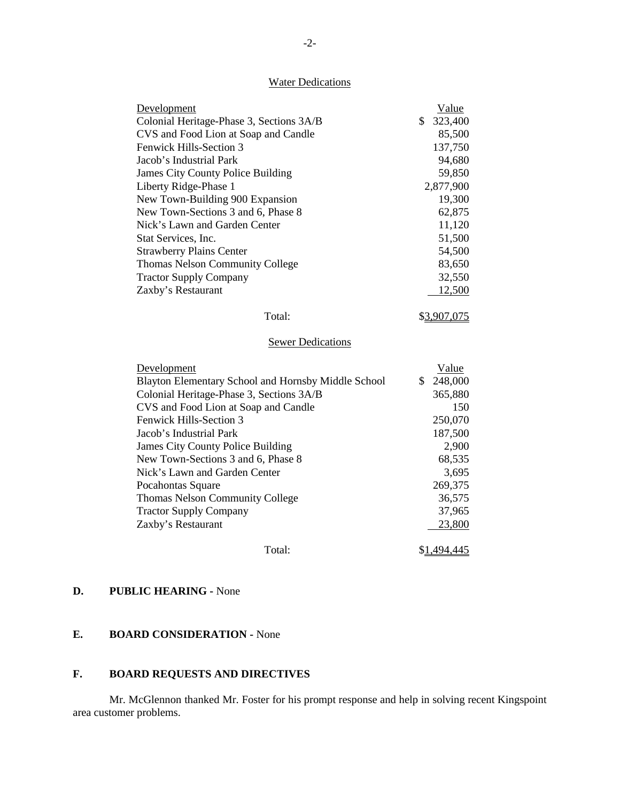#### **Water Dedications**

| Development                                         | Value               |
|-----------------------------------------------------|---------------------|
| Colonial Heritage-Phase 3, Sections 3A/B            | \$<br>323,400       |
| CVS and Food Lion at Soap and Candle                | 85,500              |
| Fenwick Hills-Section 3                             | 137,750             |
| Jacob's Industrial Park                             | 94,680              |
| James City County Police Building                   | 59,850              |
| Liberty Ridge-Phase 1                               | 2,877,900           |
| New Town-Building 900 Expansion                     | 19,300              |
| New Town-Sections 3 and 6, Phase 8                  | 62,875              |
| Nick's Lawn and Garden Center                       | 11,120              |
| Stat Services, Inc.                                 | 51,500              |
| <b>Strawberry Plains Center</b>                     | 54,500              |
| Thomas Nelson Community College                     | 83,650              |
| <b>Tractor Supply Company</b>                       | 32,550              |
| Zaxby's Restaurant                                  | 12,500              |
| Total:                                              | \$3,907,075         |
|                                                     |                     |
| <b>Sewer Dedications</b>                            |                     |
| Development                                         | Value               |
| Blayton Elementary School and Hornsby Middle School | \$<br>248,000       |
| Colonial Heritage-Phase 3, Sections 3A/B            | 365,880             |
| CVS and Food Lion at Soap and Candle                | 150                 |
| Fenwick Hills-Section 3                             | 250,070             |
| Jacob's Industrial Park                             | 187,500             |
| <b>James City County Police Building</b>            | 2,900               |
| New Town-Sections 3 and 6, Phase 8                  | 68,535              |
| Nick's Lawn and Garden Center                       | 3,695               |
| Pocahontas Square                                   | 269,375             |
| Thomas Nelson Community College                     | 36,575              |
| <b>Tractor Supply Company</b>                       | 37,965              |
| Zaxby's Restaurant                                  | 23,800              |
| Total:                                              | \$ <u>1,494,445</u> |

#### **D. PUBLIC HEARING -** None

## **E. BOARD CONSIDERATION -** None

# **F. BOARD REQUESTS AND DIRECTIVES**

Mr. McGlennon thanked Mr. Foster for his prompt response and help in solving recent Kingspoint area customer problems.